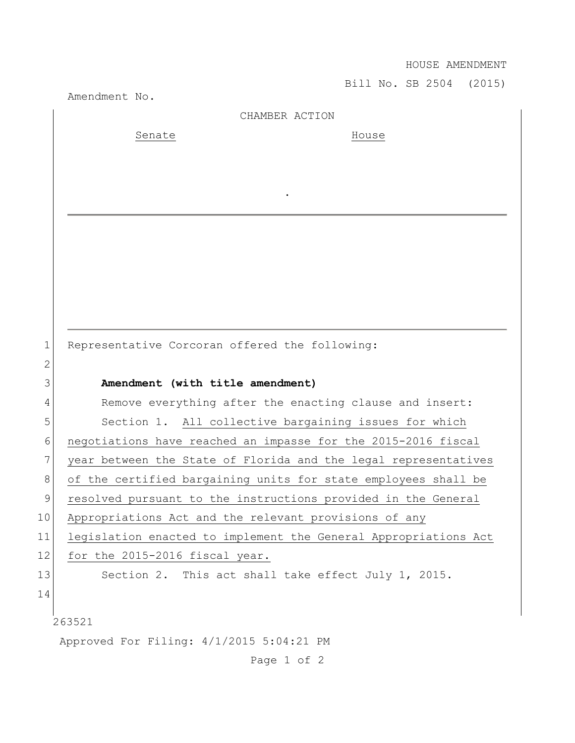HOUSE AMENDMENT

Bill No. SB 2504 (2015)

Amendment No. 263521 Approved For Filing: 4/1/2015 5:04:21 PM CHAMBER ACTION Senate House . 1 Representative Corcoran offered the following: 2 3 **Amendment (with title amendment)** 4 Remove everything after the enacting clause and insert: 5 Section 1. All collective bargaining issues for which 6 negotiations have reached an impasse for the 2015-2016 fiscal 7 year between the State of Florida and the legal representatives 8 of the certified bargaining units for state employees shall be 9 resolved pursuant to the instructions provided in the General 10 Appropriations Act and the relevant provisions of any 11 legislation enacted to implement the General Appropriations Act 12 for the 2015-2016 fiscal year. 13 Section 2. This act shall take effect July 1, 2015. 14

Page 1 of 2